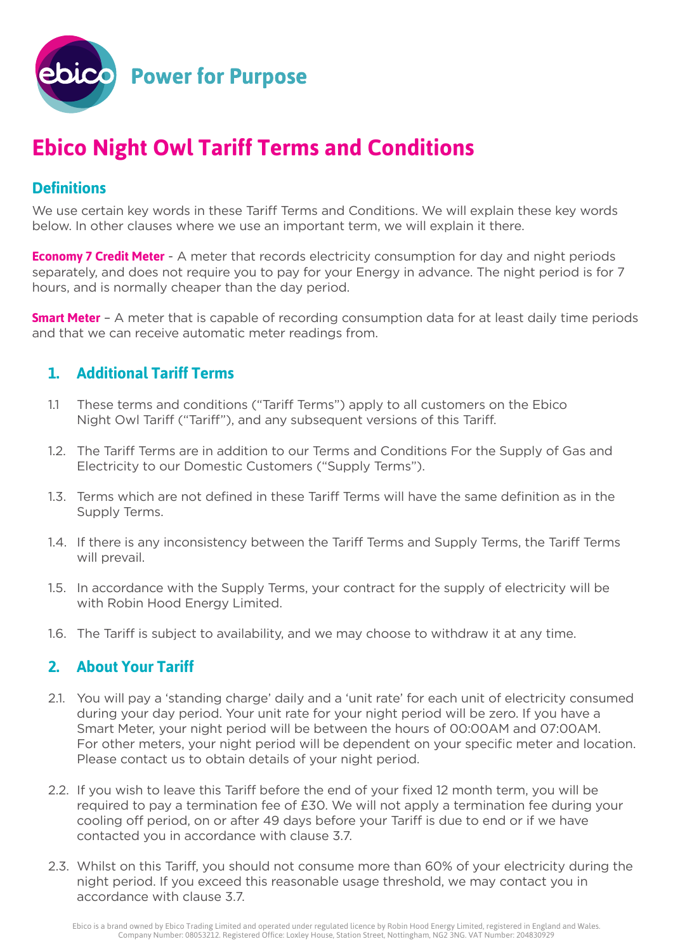

# **Ebico Night Owl Tariff Terms and Conditions**

## **Definitions**

We use certain key words in these Tariff Terms and Conditions. We will explain these key words below. In other clauses where we use an important term, we will explain it there.

**Economy 7 Credit Meter** - A meter that records electricity consumption for day and night periods separately, and does not require you to pay for your Energy in advance. The night period is for 7 hours, and is normally cheaper than the day period.

**Smart Meter** – A meter that is capable of recording consumption data for at least daily time periods and that we can receive automatic meter readings from.

### **1. Additional Tariff Terms**

- 1.1 These terms and conditions ("Tariff Terms") apply to all customers on the Ebico Night Owl Tariff ("Tariff"), and any subsequent versions of this Tariff.
- 1.2. The Tariff Terms are in addition to our Terms and Conditions For the Supply of Gas and Electricity to our Domestic Customers ("Supply Terms").
- 1.3. Terms which are not defined in these Tariff Terms will have the same definition as in the Supply Terms.
- 1.4. If there is any inconsistency between the Tariff Terms and Supply Terms, the Tariff Terms will prevail.
- 1.5. In accordance with the Supply Terms, your contract for the supply of electricity will be with Robin Hood Energy Limited.
- 1.6. The Tariff is subject to availability, and we may choose to withdraw it at any time.

### **2. About Your Tariff**

- 2.1. You will pay a 'standing charge' daily and a 'unit rate' for each unit of electricity consumed during your day period. Your unit rate for your night period will be zero. If you have a Smart Meter, your night period will be between the hours of 00:00AM and 07:00AM. For other meters, your night period will be dependent on your specific meter and location. Please contact us to obtain details of your night period.
- 2.2. If you wish to leave this Tariff before the end of your fixed 12 month term, you will be required to pay a termination fee of £30. We will not apply a termination fee during your cooling off period, on or after 49 days before your Tariff is due to end or if we have contacted you in accordance with clause 3.7.
- 2.3. Whilst on this Tariff, you should not consume more than 60% of your electricity during the night period. If you exceed this reasonable usage threshold, we may contact you in accordance with clause 3.7.